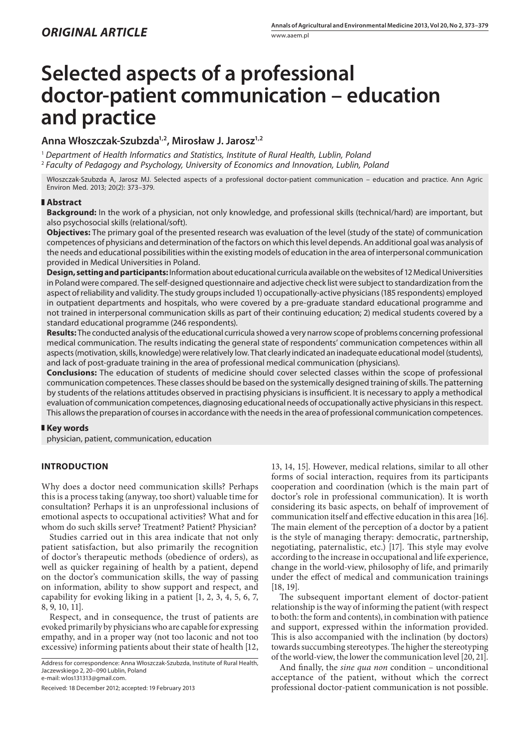# **Selected aspects of a professional doctor-patient communication – education and practice**

# **Anna Włoszczak-Szubzda1,2, Mirosław J. Jarosz1,2**

<sup>1</sup> *Department of Health Informatics and Statistics, Institute of Rural Health, Lublin, Poland* <sup>2</sup> *Faculty of Pedagogy and Psychology, University of Economics and Innovation, Lublin, Poland*

Włoszczak-Szubzda A, Jarosz MJ. Selected aspects of a professional doctor-patient communication – education and practice. Ann Agric Environ Med. 2013; 20(2): 373–379.

### **Abstract**

**Background:** In the work of a physician, not only knowledge, and professional skills (technical/hard) are important, but also psychosocial skills (relational/soft).

**Objectives:** The primary goal of the presented research was evaluation of the level (study of the state) of communication competences of physicians and determination of the factors on which this level depends. An additional goal was analysis of the needs and educational possibilities within the existing models of education in the area of interpersonal communication provided in Medical Universities in Poland.

**Design, setting and participants:** Information about educational curricula available on the websites of 12 Medical Universities in Poland were compared. The self-designed questionnaire and adjective check list were subject to standardization from the aspect of reliability and validity. The study groups included 1) occupationally-active physicians (185 respondents) employed in outpatient departments and hospitals, who were covered by a pre-graduate standard educational programme and not trained in interpersonal communication skills as part of their continuing education; 2) medical students covered by a standard educational programme (246 respondents).

**Results:** The conducted analysis of the educational curricula showed a very narrow scope of problems concerning professional medical communication. The results indicating the general state of respondents' communication competences within all aspects (motivation, skills, knowledge) were relatively low. That clearly indicated an inadequate educational model (students), and lack of post-graduate training in the area of professional medical communication (physicians).

**Conclusions:** The education of students of medicine should cover selected classes within the scope of professional communication competences. These classes should be based on the systemically designed training of skills. The patterning by students of the relations attitudes observed in practising physicians is insufficient. It is necessary to apply a methodical evaluation of communication competences, diagnosing educational needs of occupationally active physicians in this respect. This allows the preparation of courses in accordance with the needs in the area of professional communication competences.

## **Key words**

physician, patient, communication, education

## **Introduction**

Why does a doctor need communication skills? Perhaps this is a process taking (anyway, too short) valuable time for consultation? Perhaps it is an unprofessional inclusions of emotional aspects to occupational activities? What and for whom do such skills serve? Treatment? Patient? Physician?

Studies carried out in this area indicate that not only patient satisfaction, but also primarily the recognition of doctor's therapeutic methods (obedience of orders), as well as quicker regaining of health by a patient, depend on the doctor's communication skills, the way of passing on information, ability to show support and respect, and capability for evoking liking in a patient [1, 2, 3, 4, 5, 6, 7, 8, 9, 10, 11].

Respect, and in consequence, the trust of patients are evoked primarily by physicians who are capable for expressing empathy, and in a proper way (not too laconic and not too excessive) informing patients about their state of health [12,

Address for correspondence: Anna Włoszczak-Szubzda, Institute of Rural Health, Jaczewskiego 2, 20–090 Lublin, Poland e-mail: wlos131313@gmail.com.

Received: 18 December 2012; accepted: 19 February 2013

13, 14, 15]. However, medical relations, similar to all other forms of social interaction, requires from its participants cooperation and coordination (which is the main part of doctor's role in professional communication). It is worth considering its basic aspects, on behalf of improvement of communication itself and effective education in this area [16]. The main element of the perception of a doctor by a patient is the style of managing therapy: democratic, partnership, negotiating, paternalistic, etc.) [17]. This style may evolve according to the increase in occupational and life experience, change in the world-view, philosophy of life, and primarily under the effect of medical and communication trainings [18, 19].

The subsequent important element of doctor-patient relationship is the way of informing the patient (with respect to both: the form and contents), in combination with patience and support, expressed within the information provided. This is also accompanied with the inclination (by doctors) towards succumbing stereotypes. The higher the stereotyping of the world-view, the lower the communication level [20, 21].

And finally, the *sine qua non* condition – unconditional acceptance of the patient, without which the correct professional doctor-patient communication is not possible.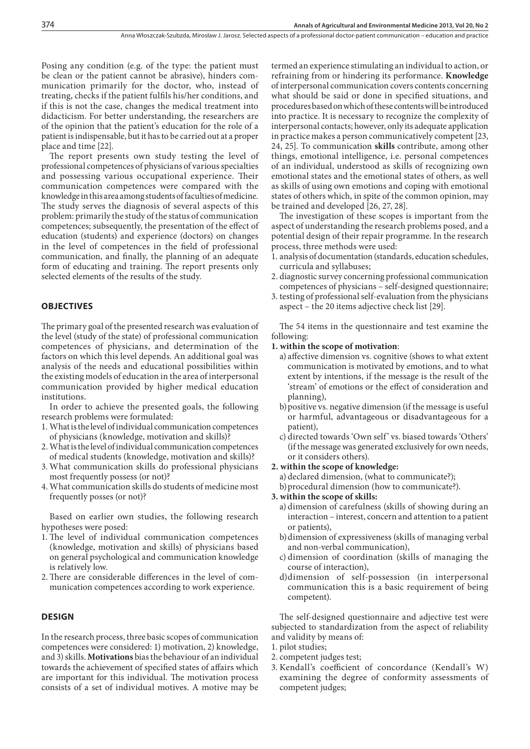Posing any condition (e.g. of the type: the patient must be clean or the patient cannot be abrasive), hinders communication primarily for the doctor, who, instead of treating, checks if the patient fulfils his/her conditions, and if this is not the case, changes the medical treatment into didacticism. For better understanding, the researchers are of the opinion that the patient's education for the role of a patient is indispensable, but it has to be carried out at a proper place and time [22].

The report presents own study testing the level of professional competences of physicians of various specialties and possessing various occupational experience. Their communication competences were compared with the knowledge in this area among students of faculties of medicine. The study serves the diagnosis of several aspects of this problem: primarily the study of the status of communication competences; subsequently, the presentation of the effect of education (students) and experience (doctors) on changes in the level of competences in the field of professional communication, and finally, the planning of an adequate form of educating and training. The report presents only selected elements of the results of the study.

#### **Objectives**

The primary goal of the presented research was evaluation of the level (study of the state) of professional communication competences of physicians, and determination of the factors on which this level depends. An additional goal was analysis of the needs and educational possibilities within the existing models of education in the area of interpersonal communication provided by higher medical education institutions.

In order to achieve the presented goals, the following research problems were formulated:

- 1. What is the level of individual communication competences of physicians (knowledge, motivation and skills)?
- 2. What is the level of individual communication competences of medical students (knowledge, motivation and skills)?
- 3. What communication skills do professional physicians most frequently possess (or not)?
- 4. What communication skills do students of medicine most frequently posses (or not)?

Based on earlier own studies, the following research hypotheses were posed:

- 1. The level of individual communication competences (knowledge, motivation and skills) of physicians based on general psychological and communication knowledge is relatively low.
- 2.There are considerable differences in the level of communication competences according to work experience.

## **DESIGN**

In the research process, three basic scopes of communication competences were considered: 1) motivation, 2) knowledge, and 3) skills. **Motivations** bias the behaviour of an individual towards the achievement of specified states of affairs which are important for this individual. The motivation process consists of a set of individual motives. A motive may be termed an experience stimulating an individual to action, or refraining from or hindering its performance. **Knowledge** of interpersonal communication covers contents concerning what should be said or done in specified situations, and procedures based on which of these contents will be introduced into practice. It is necessary to recognize the complexity of interpersonal contacts; however, only its adequate application in practice makes a person communicatively competent [23, 24, 25]. To communication **skills** contribute, among other things, emotional intelligence, i.e. personal competences of an individual, understood as skills of recognizing own emotional states and the emotional states of others, as well as skills of using own emotions and coping with emotional states of others which, in spite of the common opinion, may be trained and developed [26, 27, 28].

The investigation of these scopes is important from the aspect of understanding the research problems posed, and a potential design of their repair programme. In the research process, three methods were used:

- 1. analysis of documentation (standards, education schedules, curricula and syllabuses;
- 2. diagnostic survey concerning professional communication competences of physicians – self-designed questionnaire;
- 3. testing of professional self-evaluation from the physicians aspect – the 20 items adjective check list [29].

The 54 items in the questionnaire and test examine the following:

#### **1. within the scope of motivation**:

- a) affective dimension vs. cognitive (shows to what extent communication is motivated by emotions, and to what extent by intentions, if the message is the result of the 'stream' of emotions or the effect of consideration and planning),
- b)positive vs. negative dimension (if the message is useful or harmful, advantageous or disadvantageous for a patient),
- c) directed towards 'Own self' vs. biased towards 'Others' (if the message was generated exclusively for own needs, or it considers others).
- **2. within the scope of knowledge:**

a) declared dimension, (what to communicate?);

b)procedural dimension (how to communicate?).

- **3. within the scope of skills:**
	- a) dimension of carefulness (skills of showing during an interaction – interest, concern and attention to a patient or patients),
	- b)dimension of expressiveness (skills of managing verbal and non-verbal communication),
	- c) dimension of coordination (skills of managing the course of interaction),
	- d)dimension of self-possession (in interpersonal communication this is a basic requirement of being competent).

The self-designed questionnaire and adjective test were subjected to standardization from the aspect of reliability and validity by means of:

- 1. pilot studies;
- 2. competent judges test;
- 3. Kendall's coefficient of concordance (Kendall's W) examining the degree of conformity assessments of competent judges;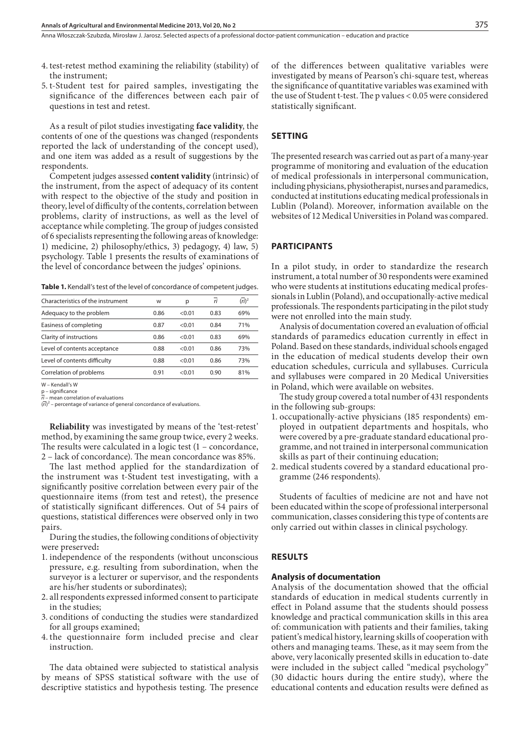- 4. test-retest method examining the reliability (stability) of the instrument;
- 5. t-Student test for paired samples, investigating the significance of the differences between each pair of questions in test and retest.

As a result of pilot studies investigating **face validity**, the contents of one of the questions was changed (respondents reported the lack of understanding of the concept used), and one item was added as a result of suggestions by the respondents.

Competent judges assessed **content validity** (intrinsic) of the instrument, from the aspect of adequacy of its content with respect to the objective of the study and position in theory, level of difficulty of the contents, correlation between problems, clarity of instructions, as well as the level of acceptance while completing. The group of judges consisted of 6 specialists representing the following areas of knowledge: 1) medicine, 2) philosophy/ethics, 3) pedagogy, 4) law, 5) psychology. Table 1 presents the results of examinations of the level of concordance between the judges' opinions.

**Table 1.** Kendall's test of the level of concordance of competent judges.

| Characteristics of the instrument | W    | р      | ri   | $(ri)^2$ |
|-----------------------------------|------|--------|------|----------|
| Adequacy to the problem           | 0.86 | < 0.01 | 0.83 | 69%      |
| Easiness of completing            | 0.87 | < 0.01 | 0.84 | 71%      |
| Clarity of instructions           | 0.86 | < 0.01 | 0.83 | 69%      |
| Level of contents acceptance      | 0.88 | < 0.01 | 0.86 | 73%      |
| Level of contents difficulty      | 0.88 | < 0.01 | 0.86 | 73%      |
| Correlation of problems           | 0.91 | < 0.01 | 0.90 | 81%      |
|                                   |      |        |      |          |

W – Kendall's W p – significance

*ri* – mean correlation of evaluations

(*ri*) 2 – percentage of variance of general concordance of evaluations.

**Reliability** was investigated by means of the 'test-retest' method, by examining the same group twice, every 2 weeks. The results were calculated in a logic test (1 – concordance, 2 – lack of concordance). The mean concordance was 85%.

The last method applied for the standardization of the instrument was t-Student test investigating, with a significantly positive correlation between every pair of the questionnaire items (from test and retest), the presence of statistically significant differences. Out of 54 pairs of questions, statistical differences were observed only in two pairs.

During the studies, the following conditions of objectivity were preserved**:**

- 1. independence of the respondents (without unconscious pressure, e.g. resulting from subordination, when the surveyor is a lecturer or supervisor, and the respondents are his/her students or subordinates);
- 2. all respondents expressed informed consent to participate in the studies;
- 3. conditions of conducting the studies were standardized for all groups examined;
- 4. the questionnaire form included precise and clear instruction.

The data obtained were subjected to statistical analysis by means of SPSS statistical software with the use of descriptive statistics and hypothesis testing. The presence

of the differences between qualitative variables were investigated by means of Pearson's chi-square test, whereas the significance of quantitative variables was examined with the use of Student t-test. The p values < 0.05 were considered statistically significant.

## **SETTING**

The presented research was carried out as part of a many-year programme of monitoring and evaluation of the education of medical professionals in interpersonal communication, including physicians, physiotherapist, nurses and paramedics, conducted at institutions educating medical professionals in Lublin (Poland). Moreover, information available on the websites of 12 Medical Universities in Poland was compared.

## **PARTICIPANTS**

In a pilot study, in order to standardize the research instrument, a total number of 30 respondents were examined who were students at institutions educating medical professionals in Lublin (Poland), and occupationally-active medical professionals. The respondents participating in the pilot study were not enrolled into the main study.

Analysis of documentation covered an evaluation of official standards of paramedics education currently in effect in Poland. Based on these standards, individual schools engaged in the education of medical students develop their own education schedules, curricula and syllabuses. Curricula and syllabuses were compared in 20 Medical Universities in Poland, which were available on websites.

The study group covered a total number of 431 respondents in the following sub-groups:

- 1. occupationally-active physicians (185 respondents) employed in outpatient departments and hospitals, who were covered by a pre-graduate standard educational programme, and not trained in interpersonal communication skills as part of their continuing education;
- 2. medical students covered by a standard educational programme (246 respondents).

Students of faculties of medicine are not and have not been educated within the scope of professional interpersonal communication, classes considering this type of contents are only carried out within classes in clinical psychology.

## **RESULTS**

#### **Analysis of documentation**

Analysis of the documentation showed that the official standards of education in medical students currently in effect in Poland assume that the students should possess knowledge and practical communication skills in this area of: communication with patients and their families, taking patient's medical history, learning skills of cooperation with others and managing teams. These, as it may seem from the above, very laconically presented skills in education to-date were included in the subject called "medical psychology" (30 didactic hours during the entire study), where the educational contents and education results were defined as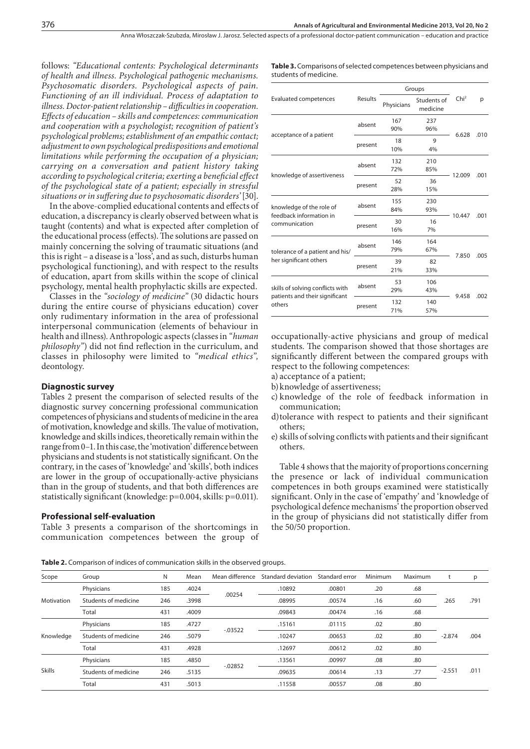follows: *"Educational contents: Psychological determinants of health and illness. Psychological pathogenic mechanisms. Psychosomatic disorders. Psychological aspects of pain. Functioning of an ill individual. Process of adaptation to illness. Doctor-patient relationship – difficulties in cooperation. Effects of education – skills and competences: communication and cooperation with a psychologist; recognition of patient's psychological problems; establishment of an empathic contact; adjustment to own psychological predispositions and emotional limitations while performing the occupation of a physician; carrying on a conversation and patient history taking according to psychological criteria; exerting a beneficial effect of the psychological state of a patient; especially in stressful situations or in suffering due to psychosomatic disorders'* [30].

In the above-complied educational contents and effects of education, a discrepancy is clearly observed between what is taught (contents) and what is expected after completion of the educational process (effects). The solutions are passed on mainly concerning the solving of traumatic situations (and this is right – a disease is a 'loss', and as such, disturbs human psychological functioning), and with respect to the results of education, apart from skills within the scope of clinical psychology, mental health prophylactic skills are expected.

Classes in the *"sociology of medicine"* (30 didactic hours during the entire course of physicians education) cover only rudimentary information in the area of professional interpersonal communication (elements of behaviour in health and illness). Anthropologic aspects (classes in *"human philosophy"*) did not find reflection in the curriculum, and classes in philosophy were limited to *"medical ethics",*  deontology.

#### **Diagnostic survey**

Tables 2 present the comparison of selected results of the diagnostic survey concerning professional communication competences of physicians and students of medicine in the area of motivation, knowledge and skills. The value of motivation, knowledge and skills indices, theoretically remain within the range from 0–1. In this case, the 'motivation' difference between physicians and students is not statistically significant. On the contrary, in the cases of 'knowledge' and 'skills', both indices are lower in the group of occupationally-active physicians than in the group of students, and that both differences are statistically significant (knowledge: p=0.004, skills: p=0.011).

#### **Professional self-evaluation**

Table 3 presents a comparison of the shortcomings in communication competences between the group of **Table 3.** Comparisons of selected competences between physicians and students of medicine.

|                                                                              |         | Groups     |                         |                  |      |  |
|------------------------------------------------------------------------------|---------|------------|-------------------------|------------------|------|--|
| <b>Evaluated competences</b>                                                 | Results | Physicians | Students of<br>medicine | Chi <sup>2</sup> | p    |  |
|                                                                              | absent  | 167<br>90% | 237<br>96%              | 6.628            | .010 |  |
| acceptance of a patient                                                      | present | 18<br>10%  | 9<br>4%                 |                  |      |  |
| knowledge of assertiveness                                                   | absent  | 132<br>72% | 210<br>85%              |                  | .001 |  |
|                                                                              | present | 52<br>28%  | 36<br>15%               | 12.009           |      |  |
| knowledge of the role of<br>feedback information in<br>communication         | absent  | 155<br>84% | 230<br>93%              |                  | .001 |  |
|                                                                              | present | 30<br>16%  | 16<br>7%                | 10.447           |      |  |
| tolerance of a patient and his/<br>her significant others                    | absent  | 146<br>79% | 164<br>67%              |                  | .005 |  |
|                                                                              | present | 39<br>21%  | 82<br>33%               | 7.850            |      |  |
| skills of solving conflicts with<br>patients and their significant<br>others | absent  | 53<br>29%  | 106<br>43%              |                  | .002 |  |
|                                                                              | present | 132<br>71% | 140<br>57%              | 9.458            |      |  |

occupationally-active physicians and group of medical students. The comparison showed that those shortages are significantly different between the compared groups with respect to the following competences:

- a) acceptance of a patient;
- b)knowledge of assertiveness;
- c) knowledge of the role of feedback information in communication;
- d)tolerance with respect to patients and their significant others;
- e) skills of solving conflicts with patients and their significant others.

Table 4 shows that the majority of proportions concerning the presence or lack of individual communication competences in both groups examined were statistically significant. Only in the case of 'empathy' and 'knowledge of psychological defence mechanisms' the proportion observed in the group of physicians did not statistically differ from the 50/50 proportion.

**Table 2.** Comparison of indices of communication skills in the observed groups.

| Scope         | Group                | N   | Mean  | Mean difference | Standard deviation | Standard error | Minimum | Maximum | t        | p    |
|---------------|----------------------|-----|-------|-----------------|--------------------|----------------|---------|---------|----------|------|
|               | Physicians           | 185 | .4024 |                 | .10892             | .00801         | .20     | .68     |          |      |
| Motivation    | Students of medicine | 246 | .3998 | .00254          | .08995             | .00574         | .16     | .60     | .265     | .791 |
|               | Total                | 431 | .4009 |                 | .09843             | .00474         | .16     | .68     |          |      |
| Knowledge     | Physicians           | 185 | .4727 |                 | .15161             | .01115         | .02     | .80     |          | .004 |
|               | Students of medicine | 246 | .5079 | $-0.03522$      | .10247             | .00653         | .02     | .80     | $-2.874$ |      |
|               | Total                | 431 | .4928 |                 | .12697             | .00612         | .02     | .80     |          |      |
| <b>Skills</b> | Physicians           | 185 | .4850 |                 | .13561             | .00997         | .08     | .80     |          |      |
|               | Students of medicine | 246 | .5135 | $-0.02852$      | .09635             | .00614<br>.13  |         | .77     | $-2.551$ | .011 |
|               | Total                | 431 | .5013 |                 | .11558             | .00557         | .08     | .80     |          |      |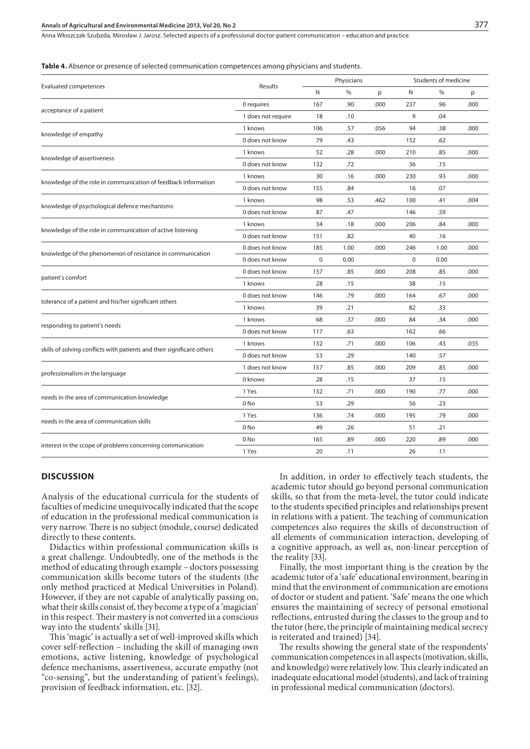Anna Włoszczak-Szubzda, Mirosław J. Jarosz . Selected aspects of a professional doctor-patient communication – education and practice

**Table 4.** Absence or presence of selected communication competences among physicians and students.

| <b>Evaluated competences</b>                                           |                    |             | Physicians |      |             | Students of medicine |      |  |
|------------------------------------------------------------------------|--------------------|-------------|------------|------|-------------|----------------------|------|--|
|                                                                        | Results            | N           | $\%$       | p    | N           | $\%$                 | p    |  |
| acceptance of a patient                                                | 0 requires         | 167         | .90        | .000 | 237         | .96                  | .000 |  |
|                                                                        | 1 does not require | 18          | .10        |      | 9           | .04                  |      |  |
| knowledge of empathy                                                   | 1 knows            | 106         | .57        | .056 | 94          | .38                  | .000 |  |
|                                                                        | 0 does not know    | 79          | .43        |      | 152         | .62                  |      |  |
| knowledge of assertiveness                                             | 1 knows            | 52          | .28        | .000 | 210         | .85                  | .000 |  |
|                                                                        | 0 does not know    | 132         | .72        |      | 36          | .15                  |      |  |
| knowledge of the role in communication of feedback information         | 1 knows            | 30          | .16        | .000 | 230         | .93                  | .000 |  |
|                                                                        | 0 does not know    | 155         | .84        |      | 16          | .07                  |      |  |
| knowledge of psychological defence mechanisms                          | 1 knows            | 98          | .53        | .462 | 100         | .41                  | .004 |  |
|                                                                        | 0 does not know    | 87          | .47        |      | 146         | .59                  |      |  |
| knowledge of the role in communication of active listening             | 1 knows            | 34          | .18        | .000 | 206         | .84                  | .000 |  |
|                                                                        | 0 does not know    | 151         | .82        |      | 40          | .16                  |      |  |
| knowledge of the phenomenon of resistance in communication             | 0 does not know    | 185         | 1.00       | .000 | 246         | 1.00                 | .000 |  |
|                                                                        | 0 does not know    | $\mathbf 0$ | 0.00       |      | $\mathbf 0$ | 0.00                 |      |  |
| patient's comfort                                                      | 0 does not know    | 157         | .85        | .000 | 208         | .85                  | .000 |  |
|                                                                        | 1 knows            | 28          | .15        |      | 38          | .15                  |      |  |
|                                                                        | 0 does not know    | 146         | .79        | .000 | 164         | .67                  | .000 |  |
| tolerance of a patient and his/her significant others                  | 1 knows            | 39          | .21        |      | 82          | .33                  |      |  |
|                                                                        | 1 knows            | 68          | .37        | .000 | 84          | .34                  | .000 |  |
| responding to patient's needs                                          | 0 does not know    | 117         | .63        |      | 162         | .66                  |      |  |
| skills of solving conflicts with patients and their significant others | 1 knows            | 132         | .71        | .000 | 106         | .43                  | .035 |  |
|                                                                        | 0 does not know    | 53          | .29        |      | 140         | .57                  |      |  |
| professionalism in the language                                        | 1 does not know    | 157         | .85        | .000 | 209         | .85                  | .000 |  |
|                                                                        | 0 knows            | 28          | .15        |      | 37          | .15                  |      |  |
|                                                                        | 1 Yes              | 132         | .71        | .000 | 190         | .77                  | .000 |  |
| needs in the area of communication knowledge                           | 0 <sub>No</sub>    | 53          | .29        |      | 56          | .23                  |      |  |
| needs in the area of communication skills                              | 1 Yes              | 136         | .74        | .000 | 195         | .79                  | .000 |  |
|                                                                        | 0 <sub>No</sub>    | 49          | .26        |      | 51          | .21                  |      |  |
| interest in the scope of problems concerning communication             | 0 No               | 165         | .89        | .000 | 220         | .89                  | .000 |  |
|                                                                        | 1 Yes              | 20          | .11        |      | 26          | .11                  |      |  |
|                                                                        |                    |             |            |      |             |                      |      |  |

#### **DISCUSSION**

Analysis of the educational curricula for the students of faculties of medicine unequivocally indicated that the scope of education in the professional medical communication is very narrow. There is no subject (module, course) dedicated directly to these contents.

Didactics within professional communication skills is a great challenge. Undoubtedly, one of the methods is the method of educating through example – doctors possessing communication skills become tutors of the students (the only method practiced at Medical Universities in Poland). However, if they are not capable of analytically passing on, what their skills consist of, they become a type of a 'magician' in this respect. Their mastery is not converted in a conscious way into the students' skills [31].

This 'magic' is actually a set of well-improved skills which cover self-reflection – including the skill of managing own emotions, active listening, knowledge of psychological defence mechanisms, assertiveness, accurate empathy (not "co-sensing", but the understanding of patient's feelings), provision of feedback information, etc. [32].

In addition, in order to effectively teach students, the academic tutor should go beyond personal communication skills, so that from the meta-level, the tutor could indicate to the students specified principles and relationships present in relations with a patient. The teaching of communication competences also requires the skills of deconstruction of all elements of communication interaction, developing of a cognitive approach, as well as, non-linear perception of the reality [33].

Finally, the most important thing is the creation by the academic tutor of a 'safe' educational environment, bearing in mind that the environment of communication are emotions of doctor or student and patient. 'Safe' means the one which ensures the maintaining of secrecy of personal emotional reflections, entrusted during the classes to the group and to the tutor (here, the principle of maintaining medical secrecy is reiterated and trained) [34].

The results showing the general state of the respondents' communication competences in all aspects (motivation, skills, and knowledge) were relatively low. This clearly indicated an inadequate educational model (students), and lack of training in professional medical communication (doctors).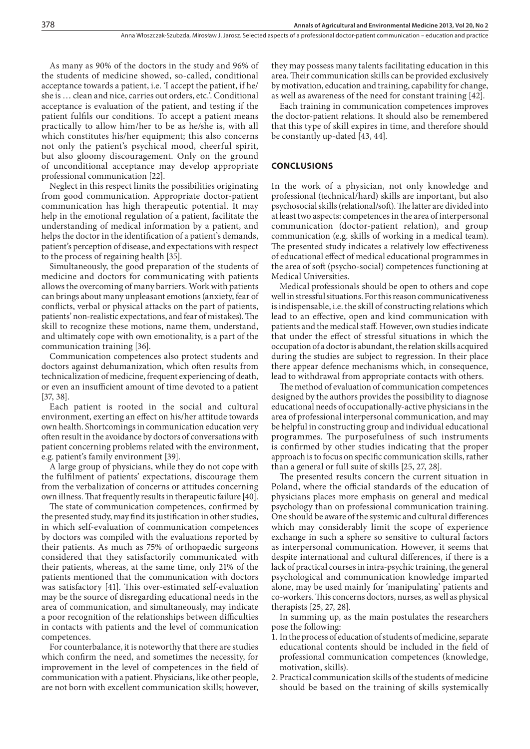As many as 90% of the doctors in the study and 96% of the students of medicine showed, so-called, conditional acceptance towards a patient, i.e. 'I accept the patient, if he/ she is … clean and nice, carries out orders, etc.'. Conditional acceptance is evaluation of the patient, and testing if the patient fulfils our conditions. To accept a patient means practically to allow him/her to be as he/she is, with all which constitutes his/her equipment; this also concerns not only the patient's psychical mood, cheerful spirit, but also gloomy discouragement. Only on the ground of unconditional acceptance may develop appropriate professional communication [22].

Neglect in this respect limits the possibilities originating from good communication. Appropriate doctor-patient communication has high therapeutic potential. It may help in the emotional regulation of a patient, facilitate the understanding of medical information by a patient, and helps the doctor in the identification of a patient's demands, patient's perception of disease, and expectations with respect to the process of regaining health [35].

Simultaneously, the good preparation of the students of medicine and doctors for communicating with patients allows the overcoming of many barriers. Work with patients can brings about many unpleasant emotions (anxiety, fear of conflicts, verbal or physical attacks on the part of patients, patients' non-realistic expectations, and fear of mistakes). The skill to recognize these motions, name them, understand, and ultimately cope with own emotionality, is a part of the communication training [36].

Communication competences also protect students and doctors against dehumanization, which often results from technicalization of medicine, frequent experiencing of death, or even an insufficient amount of time devoted to a patient [37, 38].

Each patient is rooted in the social and cultural environment, exerting an effect on his/her attitude towards own health. Shortcomings in communication education very often result in the avoidance by doctors of conversations with patient concerning problems related with the environment, e.g. patient's family environment [39].

A large group of physicians, while they do not cope with the fulfilment of patients' expectations, discourage them from the verbalization of concerns or attitudes concerning own illness. That frequently results in therapeutic failure [40].

The state of communication competences, confirmed by the presented study, may find its justification in other studies, in which self-evaluation of communication competences by doctors was compiled with the evaluations reported by their patients. As much as 75% of orthopaedic surgeons considered that they satisfactorily communicated with their patients, whereas, at the same time, only 21% of the patients mentioned that the communication with doctors was satisfactory [41]. This over-estimated self-evaluation may be the source of disregarding educational needs in the area of communication, and simultaneously, may indicate a poor recognition of the relationships between difficulties in contacts with patients and the level of communication competences.

For counterbalance, it is noteworthy that there are studies which confirm the need, and sometimes the necessity, for improvement in the level of competences in the field of communication with a patient. Physicians, like other people, are not born with excellent communication skills; however,

they may possess many talents facilitating education in this area. Their communication skills can be provided exclusively by motivation, education and training, capability for change, as well as awareness of the need for constant training [42].

Each training in communication competences improves the doctor-patient relations. It should also be remembered that this type of skill expires in time, and therefore should be constantly up-dated [43, 44].

#### **CONCLUSIONS**

In the work of a physician, not only knowledge and professional (technical/hard) skills are important, but also psychosocial skills (relational/soft). The latter are divided into at least two aspects: competences in the area of interpersonal communication (doctor-patient relation), and group communication (e.g. skills of working in a medical team). The presented study indicates a relatively low effectiveness of educational effect of medical educational programmes in the area of soft (psycho-social) competences functioning at Medical Universities.

Medical professionals should be open to others and cope well in stressful situations. For this reason communicativeness is indispensable, i.e. the skill of constructing relations which lead to an effective, open and kind communication with patients and the medical staff. However, own studies indicate that under the effect of stressful situations in which the occupation of a doctor is abundant, the relation skills acquired during the studies are subject to regression. In their place there appear defence mechanisms which, in consequence, lead to withdrawal from appropriate contacts with others.

The method of evaluation of communication competences designed by the authors provides the possibility to diagnose educational needs of occupationally-active physicians in the area of professional interpersonal communication, and may be helpful in constructing group and individual educational programmes. The purposefulness of such instruments is confirmed by other studies indicating that the proper approach is to focus on specific communication skills, rather than a general or full suite of skills [25, 27, 28].

The presented results concern the current situation in Poland, where the official standards of the education of physicians places more emphasis on general and medical psychology than on professional communication training. One should be aware of the systemic and cultural differences which may considerably limit the scope of experience exchange in such a sphere so sensitive to cultural factors as interpersonal communication. However, it seems that despite international and cultural differences, if there is a lack of practical courses in intra-psychic training, the general psychological and communication knowledge imparted alone, may be used mainly for 'manipulating' patients and co-workers. This concerns doctors, nurses, as well as physical therapists [25, 27, 28].

In summing up, as the main postulates the researchers pose the following:

- 1. In the process of education of students of medicine, separate educational contents should be included in the field of professional communication competences (knowledge, motivation, skills).
- 2. Practical communication skills of the students of medicine should be based on the training of skills systemically